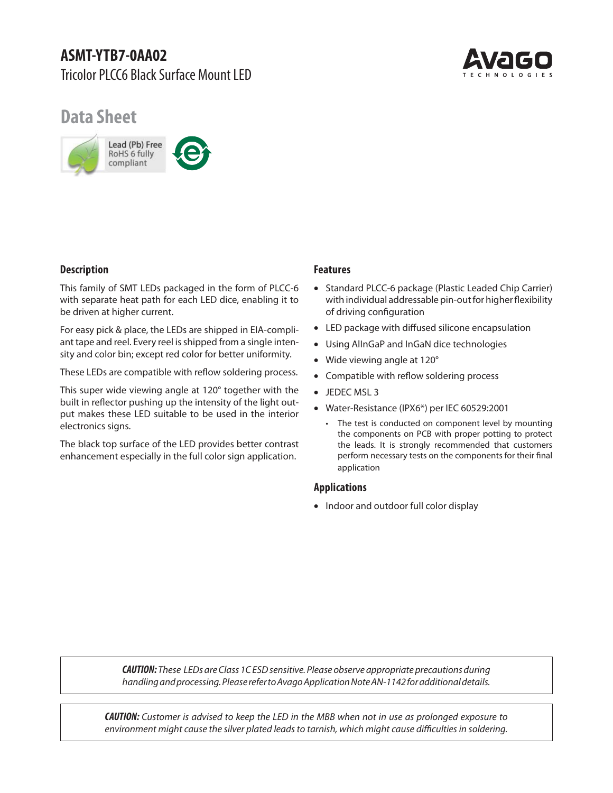

# **Data Sheet**



## **Description**

This family of SMT LEDs packaged in the form of PLCC-6 with separate heat path for each LED dice, enabling it to be driven at higher current.

For easy pick & place, the LEDs are shipped in EIA-compliant tape and reel. Every reel is shipped from a single intensity and color bin; except red color for better uniformity.

These LEDs are compatible with reflow soldering process.

This super wide viewing angle at 120° together with the built in reflector pushing up the intensity of the light output makes these LED suitable to be used in the interior electronics signs.

The black top surface of the LED provides better contrast enhancement especially in the full color sign application.

## **Features**

- Standard PLCC-6 package (Plastic Leaded Chip Carrier) with individual addressable pin-out for higher flexibility of driving configuration
- LED package with diffused silicone encapsulation
- Using AlInGaP and InGaN dice technologies
- Wide viewing angle at 120°
- Compatible with reflow soldering process
- JEDEC MSL 3
- Water-Resistance (IPX6\*) per IEC 60529:2001
	- The test is conducted on component level by mounting the components on PCB with proper potting to protect the leads. It is strongly recommended that customers perform necessary tests on the components for their final application

#### **Applications**

• Indoor and outdoor full color display

*CAUTION:* These LEDs are Class 1C ESD sensitive. Please observe appropriate precautions during handling and processing. Please refer to Avago Application Note AN-1142 for additional details.

*CAUTION:* Customer is advised to keep the LED in the MBB when not in use as prolonged exposure to environment might cause the silver plated leads to tarnish, which might cause difficulties in soldering.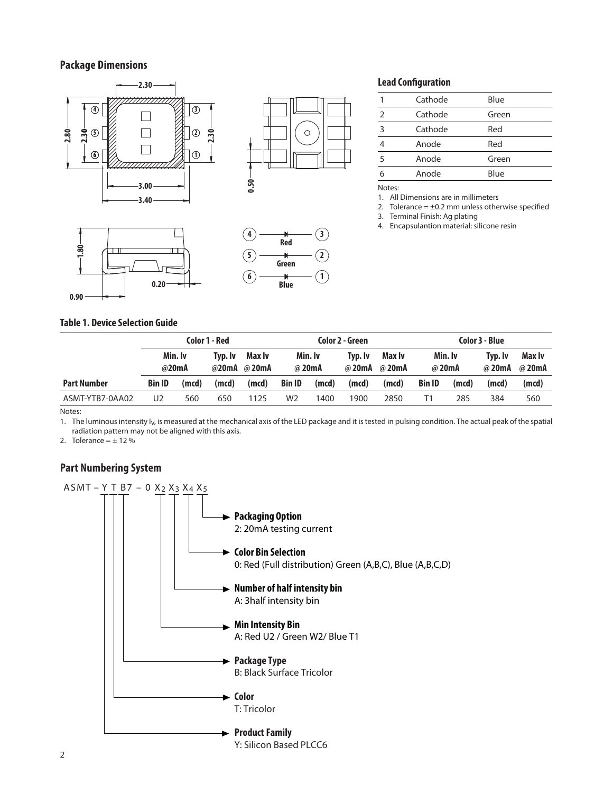## **Package Dimensions**



## **Lead Configuration**

|               | Cathode | Blue  |
|---------------|---------|-------|
| $\mathcal{P}$ | Cathode | Green |
| 3             | Cathode | Red   |
|               | Anode   | Red   |
| 5             | Anode   | Green |
| 6             | Anode   | Blue  |
|               |         |       |

Notes:

1. All Dimensions are in millimeters

2. Tolerance =  $\pm$ 0.2 mm unless otherwise specified

3. Terminal Finish: Ag plating

4. Encapsulantion material: silicone resin

#### **Table 1. Device Selection Guide**

|                    | Color 1 - Red    |       |         |                       |               | Color 2 - Green |         |                         |                   | Color 3 - Blue |                   |                  |  |
|--------------------|------------------|-------|---------|-----------------------|---------------|-----------------|---------|-------------------------|-------------------|----------------|-------------------|------------------|--|
|                    | Min. Iv<br>@20mA |       | Tvp. Iv | Max Iv<br>@20mA @20mA | @ 20mA        | Min. Iv         | Tvp. Iv | Max Iv<br>@ 20mA @ 20mA | Min. Iv<br>@ 20mA |                | Tvp. Iv<br>@ 20mA | Max Iv<br>@ 20mA |  |
| <b>Part Number</b> | <b>Bin ID</b>    | (mcd) | (mcd)   | (mcd)                 | <b>Bin ID</b> | (mcd)           | (mcd)   | (mcd)                   | <b>Bin ID</b>     | (mcd)          | (mod)             | (mod)            |  |
| ASMT-YTB7-0AA02    | U2               | 560   | 650     | 1125                  | W2            | 1400            | 1900    | 2850                    |                   | 285            | 384               | 560              |  |

Notes:

1. The luminous intensity I<sub>V</sub>, is measured at the mechanical axis of the LED package and it is tested in pulsing condition. The actual peak of the spatial radiation pattern may not be aligned with this axis.

2. Tolerance =  $\pm$  12 %

## **Part Numbering System**

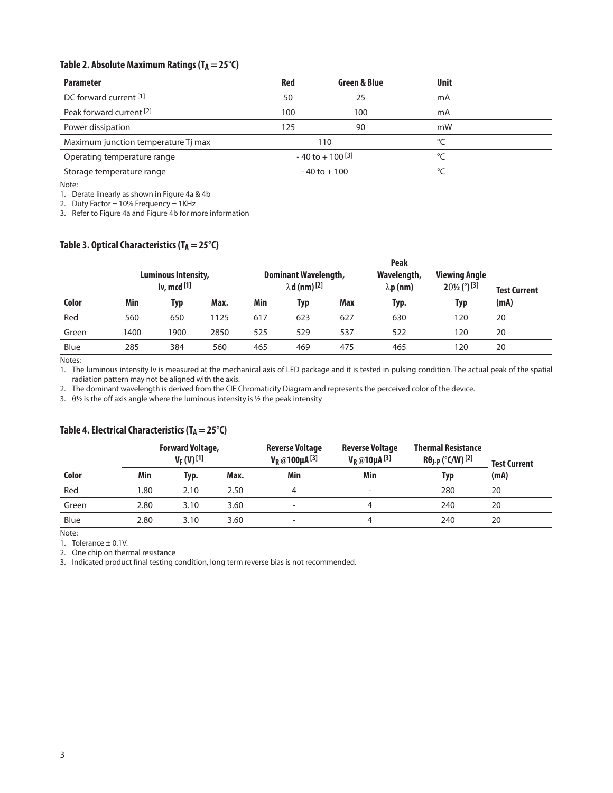## Table 2. Absolute Maximum Ratings (T<sub>A</sub> = 25°C)

| <b>Parameter</b>                    | <b>Red</b>                     | Green & Blue    | <b>Unit</b> |  |
|-------------------------------------|--------------------------------|-----------------|-------------|--|
| DC forward current [1]              | 50                             | 25              | mA          |  |
| Peak forward current <sup>[2]</sup> | 100                            | 100             | mA          |  |
| Power dissipation                   | 125                            | 90              | mW          |  |
| Maximum junction temperature Tj max |                                | 110             | °⊂          |  |
| Operating temperature range         | $-40$ to $+100$ <sup>[3]</sup> |                 | °∩          |  |
| Storage temperature range           |                                | $-40$ to $+100$ | $\sim$      |  |

Note:

1. Derate linearly as shown in Figure 4a & 4b

2. Duty Factor = 10% Frequency = 1KHz

3. Refer to Figure 4a and Figure 4b for more information

## Table 3. Optical Characteristics (T<sub>A</sub> = 25<sup>°</sup>C)

|                                                     |      |      |                                                                | <b>Peak</b> |     |                                 |                                                      |                     |      |  |
|-----------------------------------------------------|------|------|----------------------------------------------------------------|-------------|-----|---------------------------------|------------------------------------------------------|---------------------|------|--|
| Luminous Intensity,<br>$\mathsf{I}$ v, mcd $^{[1]}$ |      |      | <b>Dominant Wavelength,</b><br>$\lambda$ d (nm) <sup>[2]</sup> |             |     | Wavelength,<br>$\lambda$ p (nm) | <b>Viewing Angle</b><br>$2\theta\frac{1}{2}$ (°) [3] | <b>Test Current</b> |      |  |
| Color                                               | Min  | Typ  | Max.                                                           | Min         | Typ | Max                             | Typ.                                                 | Typ                 | (mA) |  |
| Red                                                 | 560  | 650  | 1125                                                           | 617         | 623 | 627                             | 630                                                  | 120                 | 20   |  |
| Green                                               | 1400 | 1900 | 2850                                                           | 525         | 529 | 537                             | 522                                                  | 120                 | 20   |  |
| Blue                                                | 285  | 384  | 560                                                            | 465         | 469 | 475                             | 465                                                  | 120                 | 20   |  |

Notes:

1. The luminous intensity Iv is measured at the mechanical axis of LED package and it is tested in pulsing condition. The actual peak of the spatial radiation pattern may not be aligned with the axis.

2. The dominant wavelength is derived from the CIE Chromaticity Diagram and represents the perceived color of the device.

3.  $\theta$ <sup>1</sup>/<sub>2</sub> is the off axis angle where the luminous intensity is <sup>1</sup>/<sub>2</sub> the peak intensity

## Table 4. Electrical Characteristics (T<sub>A</sub> = 25°C)

|       |      | <b>Forward Voltage,</b><br>$V_F(V)$ [1] |      | <b>Reverse Voltage</b><br>$V_R @ 100 \mu A^{[3]}$ | <b>Reverse Voltage</b><br>$V_R @ 10 \mu A$ <sup>[3]</sup> | <b>Thermal Resistance</b><br>$R\theta$ J-p (°C/W)[2] | <b>Test Current</b><br>(mA) |  |
|-------|------|-----------------------------------------|------|---------------------------------------------------|-----------------------------------------------------------|------------------------------------------------------|-----------------------------|--|
| Color | Min  | Typ.                                    | Max. | Min                                               | Min                                                       | Typ                                                  |                             |  |
| Red   | 1.80 | 2.10                                    | 2.50 | 4                                                 | $\overline{\phantom{0}}$                                  | 280                                                  | 20                          |  |
| Green | 2.80 | 3.10                                    | 3.60 | $\overline{\phantom{a}}$                          | 4                                                         | 240                                                  | 20                          |  |
| Blue  | 2.80 | 3.10                                    | 3.60 | $\overline{\phantom{a}}$                          | 4                                                         | 240                                                  | 20                          |  |

Note:

1. Tolerance ± 0.1V.

2. One chip on thermal resistance

3. Indicated product final testing condition, long term reverse bias is not recommended.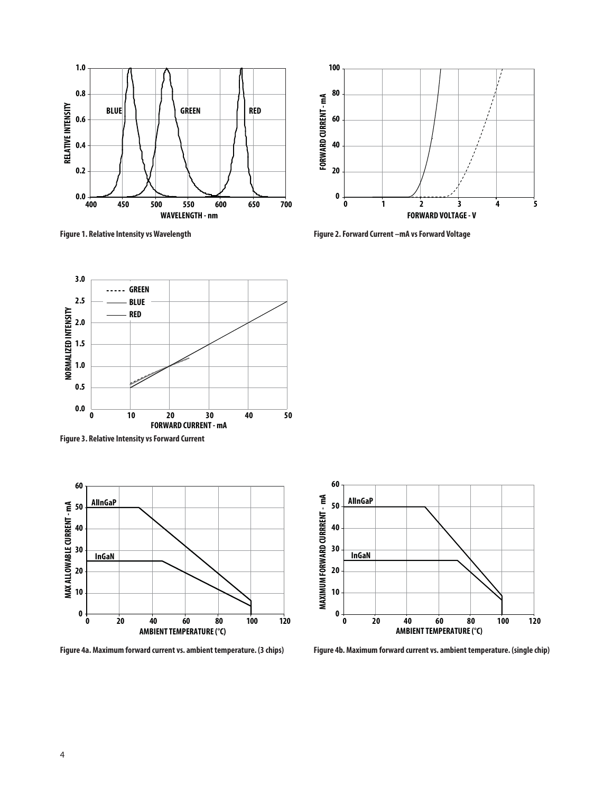



**Figure 1. Relative Intensity vs Wavelength Figure 2. Forward Current –mA vs Forward Voltage** 



**Figure 3. Relative Intensity vs Forward Current**





**Figure 4a. Maximum forward current vs. ambient temperature. (3 chips) Figure 4b. Maximum forward current vs. ambient temperature. (single chip)**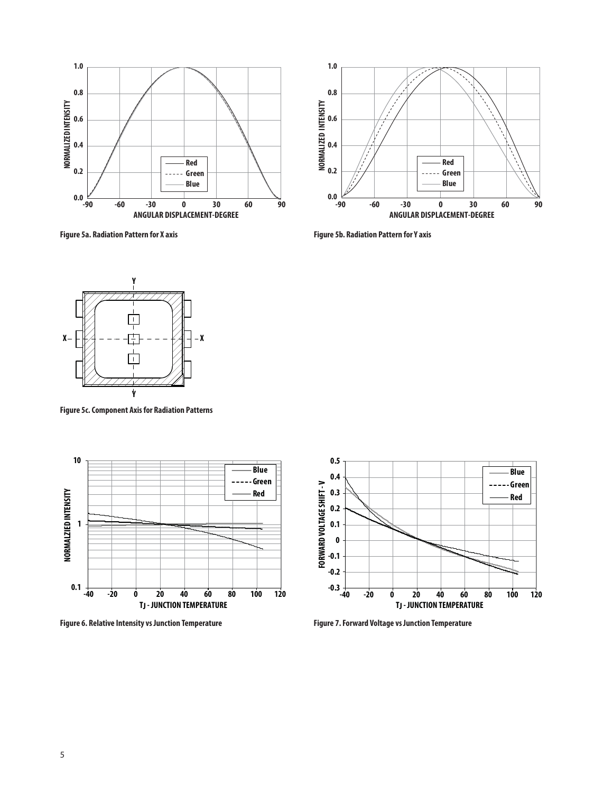

Figure 5a. Radiation Pattern for X axis **Figure 5b. Radiation Pattern for Y** axis





**Figure 5c. Component Axis for Radiation Patterns**



**Figure 6. Relative Intensity vs Junction Temperature Figure 7. Forward Voltage vs Junction Temperature**

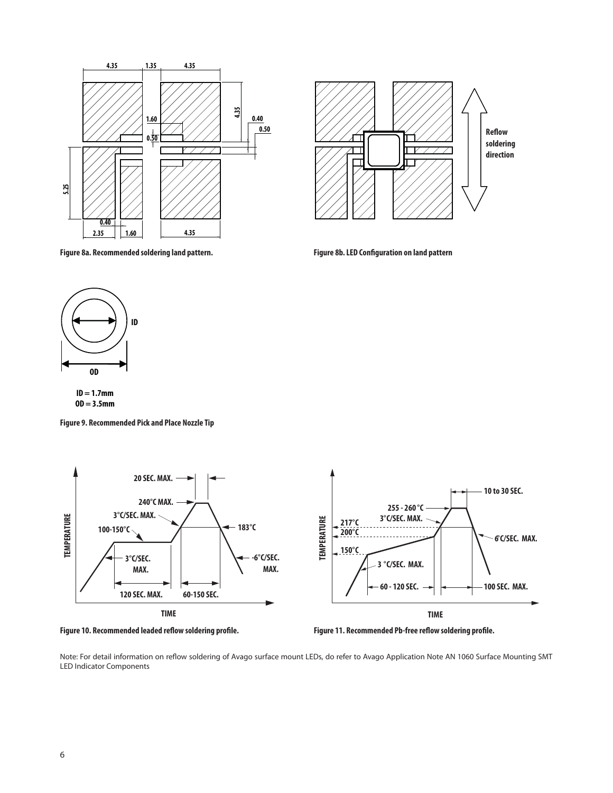

**Reflow soldering**  $\top$  $\overline{\phantom{a}}$ **direction**

**Figure 8a. Recommended soldering land pattern.**

**Figure 8b. LED Configuration on land pattern** 



**OD = 3.5mm**

**Figure 9. Recommended Pick and Place Nozzle Tip**







Note: For detail information on reflow soldering of Avago surface mount LEDs, do refer to Avago Application Note AN 1060 Surface Mounting SMT LED Indicator Components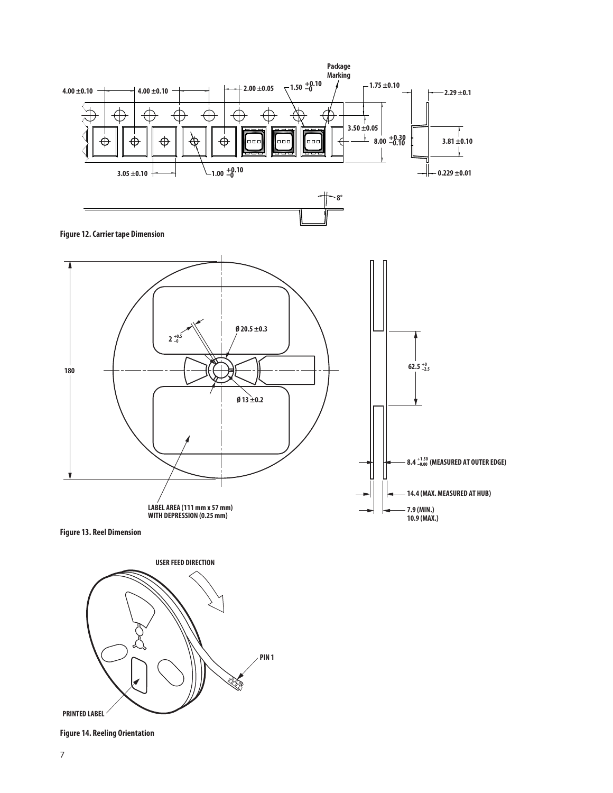





**Figure 14. Reeling Orientation**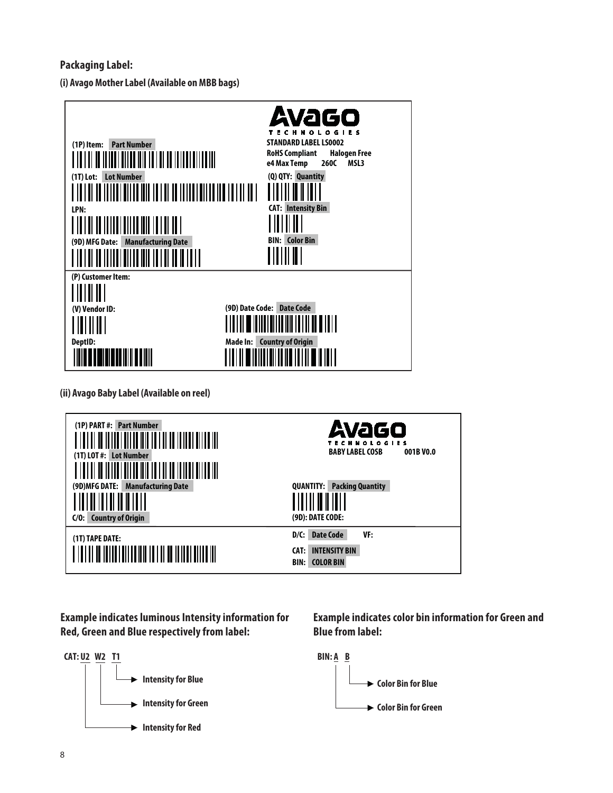## **Packaging Label:**

**(i) Avago Mother Label (Available on MBB bags)**



**(ii) Avago Baby Label (Available on reel)**

| (1P) PART #: Part Number<br>(1T) LOT #: Lot Number<br>i OI OO ITTITU OITTU NII TUTTI TOITTU NII NII N<br>(9D) MFG DATE:<br><b>Manufacturing Date</b><br>A I OO I OO I OO I OO I | Avago<br><b>HNOLOGIES</b><br><b>BABY LABEL COSB</b><br>001B VO.0<br><b>QUANTITY: Packing Quantity</b> |
|---------------------------------------------------------------------------------------------------------------------------------------------------------------------------------|-------------------------------------------------------------------------------------------------------|
| C/O: Country of Origin                                                                                                                                                          | (9D): DATE CODE:                                                                                      |
| (1T) TAPE DATE:                                                                                                                                                                 | <b>Date Code</b><br>D/C:<br>VF:<br><b>INTENSITY BIN</b><br>CAT:<br><b>COLOR BIN</b><br><b>BIN:</b>    |

**Example indicates luminous Intensity information for Red, Green and Blue respectively from label:**



**Example indicates color bin information for Green and Blue from label:**

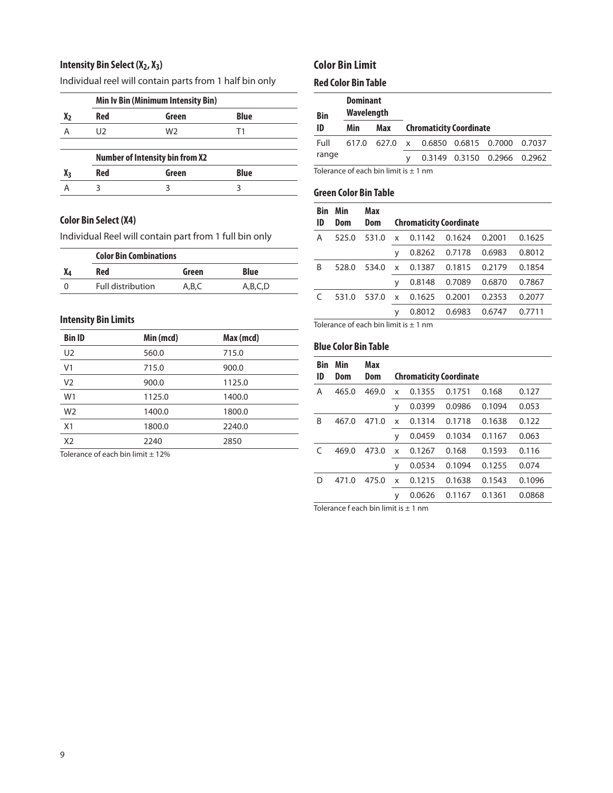## **Intensity Bin Select (X2, X3)**

Individual reel will contain parts from 1 half bin only

|                | <b>Min Iv Bin (Minimum Intensity Bin)</b> |                                        |             |  |
|----------------|-------------------------------------------|----------------------------------------|-------------|--|
| x <sub>2</sub> | <b>Red</b>                                | Green                                  | <b>Blue</b> |  |
| А              | U <sub>2</sub>                            | W2                                     | Τ1          |  |
|                |                                           |                                        |             |  |
|                |                                           | <b>Number of Intensity bin from X2</b> |             |  |
| Xз             | <b>Red</b>                                | Green                                  | <b>Blue</b> |  |
|                |                                           |                                        |             |  |
|                |                                           |                                        |             |  |

#### **Color Bin Select (X4)**

Individual Reel will contain part from 1 full bin only

| <b>Color Bin Combinations</b>                |  |  |  |  |  |  |  |  |  |  |
|----------------------------------------------|--|--|--|--|--|--|--|--|--|--|
| Blue<br>Green                                |  |  |  |  |  |  |  |  |  |  |
| <b>Full distribution</b><br>A.B.C<br>A.B.C.D |  |  |  |  |  |  |  |  |  |  |
|                                              |  |  |  |  |  |  |  |  |  |  |

## **Intensity Bin Limits**

| <b>Bin ID</b>  | Min (mcd)                                                               | Max (mcd) |  |
|----------------|-------------------------------------------------------------------------|-----------|--|
| U <sub>2</sub> | 560.0                                                                   | 715.0     |  |
| V <sub>1</sub> | 715.0                                                                   | 900.0     |  |
| V <sub>2</sub> | 900.0                                                                   | 1125.0    |  |
| W <sub>1</sub> | 1125.0                                                                  | 1400.0    |  |
| W <sub>2</sub> | 1400.0                                                                  | 1800.0    |  |
| X1             | 1800.0                                                                  | 2240.0    |  |
| X <sub>2</sub> | 2240                                                                    | 2850      |  |
|                | $\tau$ . In a contract that $\epsilon$ is a collaborate that is a model |           |  |

Tolerance of each bin limit  $\pm$  12%

## **Color Bin Limit**

## **Red Color Bin Table**

| <b>Bin</b> | <b>Dominant</b><br>Wavelength |     |                                    |                                |        |
|------------|-------------------------------|-----|------------------------------------|--------------------------------|--------|
| ID         | Min                           | Max | <b>Chromaticity Coordinate</b>     |                                |        |
| Full       |                               |     | 617.0 627.0 x 0.6850 0.6815 0.7000 |                                | 0.7037 |
| range      |                               |     |                                    | 0.3149  0.3150  0.2966  0.2962 |        |
|            |                               |     |                                    |                                |        |

Tolerance of each bin limit is  $\pm$  1 nm

#### **Green Color Bin Table**

| <b>Bin</b> | Min   | Max   |   |                                |        |        |        |  |  |  |
|------------|-------|-------|---|--------------------------------|--------|--------|--------|--|--|--|
| ID         | Dom   | Dom   |   | <b>Chromaticity Coordinate</b> |        |        |        |  |  |  |
| Α          | 525.0 | 531.0 | X | 0.1142                         | 0.1624 | 0.2001 | 0.1625 |  |  |  |
|            |       |       | ۷ | 0.8262                         | 0.7178 | 0.6983 | 0.8012 |  |  |  |
| B          | 528.0 | 534.0 | X | 0.1387                         | 0.1815 | 0.2179 | 0.1854 |  |  |  |
|            |       |       | ۷ | 0.8148                         | 0.7089 | 0.6870 | 0.7867 |  |  |  |
| C          | 531.0 | 537.0 | X | 0.1625                         | 0.2001 | 0.2353 | 0.2077 |  |  |  |
|            |       |       | У | 0.8012                         | 0.6983 | 0.6747 | 0.7711 |  |  |  |
|            |       |       |   |                                |        |        |        |  |  |  |

Tolerance of each bin limit is  $\pm$  1 nm

## **Blue Color Bin Table**

| Bin | Min   | Max   |   |        |                                |        |        |
|-----|-------|-------|---|--------|--------------------------------|--------|--------|
| ID  | Dom   | Dom   |   |        | <b>Chromaticity Coordinate</b> |        |        |
| Α   | 465.0 | 469.0 | x | 0.1355 | 0.1751                         | 0.168  | 0.127  |
|     |       |       | У | 0.0399 | 0.0986                         | 0.1094 | 0.053  |
| B   | 467.0 | 471.0 | x | 0.1314 | 0.1718                         | 0.1638 | 0.122  |
|     |       |       | V | 0.0459 | 0.1034                         | 0.1167 | 0.063  |
| C   | 469.0 | 473.0 | x | 0.1267 | 0.168                          | 0.1593 | 0.116  |
|     |       |       | У | 0.0534 | 0.1094                         | 0.1255 | 0.074  |
| D   | 471.0 | 475.0 | x | 0.1215 | 0.1638                         | 0.1543 | 0.1096 |
|     |       |       | У | 0.0626 | 0.1167                         | 0.1361 | 0.0868 |

Tolerance f each bin limit is  $\pm 1$  nm